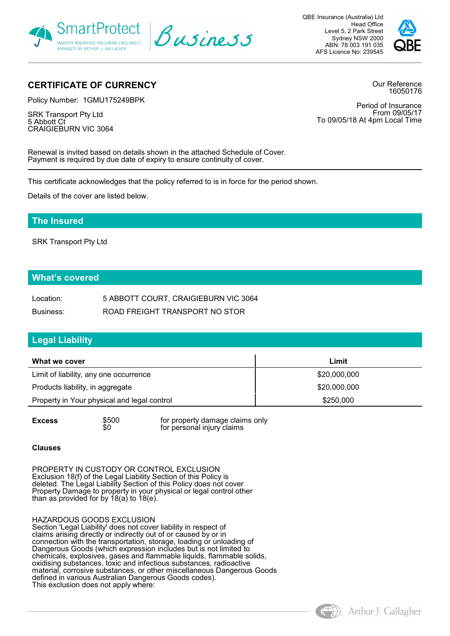

QBE Insurance (Australia) Ltd Head Office Level 5, 2 Park Street Sydney NSW 2000 ABN: 78 003 191 035 AFS Licence No: 239545



# **CERTIFICATE OF CURRENCY**

Policy Number: 1GMU175249BPK

SRK Transport Pty Ltd 5 Abbott Ct CRAIGIEBURN VIC 3064 Our Reference 16050176

Period of Insurance From 09/05/17 To 09/05/18 At 4pm Local Time

Renewal is invited based on details shown in the attached Schedule of Cover. Payment is required by due date of expiry to ensure continuity of cover.

This certificate acknowledges that the policy referred to is in force for the period shown.

Details of the cover are listed below.

## **The Insured**

SRK Transport Pty Ltd

## **What's covered**

| Location: | 5 ABBOTT COURT, CRAIGIEBURN VIC 3064 |
|-----------|--------------------------------------|
| Business: | ROAD FREIGHT TRANSPORT NO STOR       |

## **Legal Liability**

| What we cover                               | Limit        |
|---------------------------------------------|--------------|
| Limit of liability, any one occurrence      | \$20,000,000 |
| Products liability, in aggregate            | \$20,000,000 |
| Property in Your physical and legal control | \$250,000    |

**Excess**  $$500$  for property damage claims only  $$60$  for personal injury claims for personal injury claims

#### **Clauses**

PROPERTY IN CUSTODY OR CONTROL EXCLUSION Exclusion 18(f) of the Legal Liability Section of this Policy is deleted. The Legal Liability Section of this Policy does not cover Property Damage to property in your physical or legal control other than as provided for by 18(a) to 18(e).

#### HAZARDOUS GOODS EXCLUSION

Section 'Legal Liability' does not cover liability in respect of claims arising directly or indirectly out of or caused by or in connection with the transportation, storage, loading or unloading of Dangerous Goods (which expression includes but is not limited to chemicals, explosives, gases and flammable liquids, flammable solids, oxidising substances, toxic and infectious substances, radioactive material, corrosive substances, or other miscellaneous Dangerous Goods defined in various Australian Dangerous Goods codes). This exclusion does not apply where:

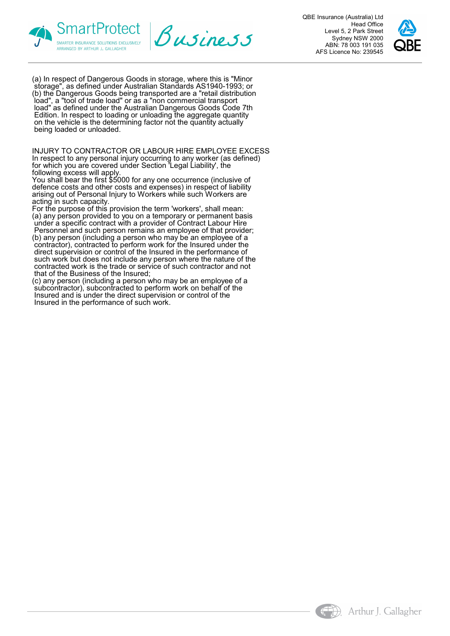



QBE Insurance (Australia) Ltd Head Office Level 5, 2 Park Street Sydney NSW 2000 ABN: 78 003 191 035 AFS Licence No: 239545



(a) In respect of Dangerous Goods in storage, where this is "Minor storage", as defined under Australian Standards AS1940-1993; or (b) the Dangerous Goods being transported are a "retail distribution load", a "tool of trade load" or as a "non commercial transport load" as defined under the Australian Dangerous Goods Code 7th Edition. In respect to loading or unloading the aggregate quantity on the vehicle is the determining factor not the quantity actually being loaded or unloaded.

INJURY TO CONTRACTOR OR LABOUR HIRE EMPLOYEE EXCESS In respect to any personal injury occurring to any worker (as defined) for which you are covered under Section 'Legal Liability', the following excess will apply.

You shall bear the first \$5000 for any one occurrence (inclusive of defence costs and other costs and expenses) in respect of liability arising out of Personal Injury to Workers while such Workers are acting in such capacity.

For the purpose of this provision the term 'workers', shall mean: (a) any person provided to you on a temporary or permanent basis under a specific contract with a provider of Contract Labour Hire

 Personnel and such person remains an employee of that provider; (b) any person (including a person who may be an employee of a contractor), contracted to perform work for the Insured under the direct supervision or control of the Insured in the performance of such work but does not include any person where the nature of the contracted work is the trade or service of such contractor and not that of the Business of the Insured;

(c) any person (including a person who may be an employee of a subcontractor), subcontracted to perform work on behalf of the Insured and is under the direct supervision or control of the Insured in the performance of such work.